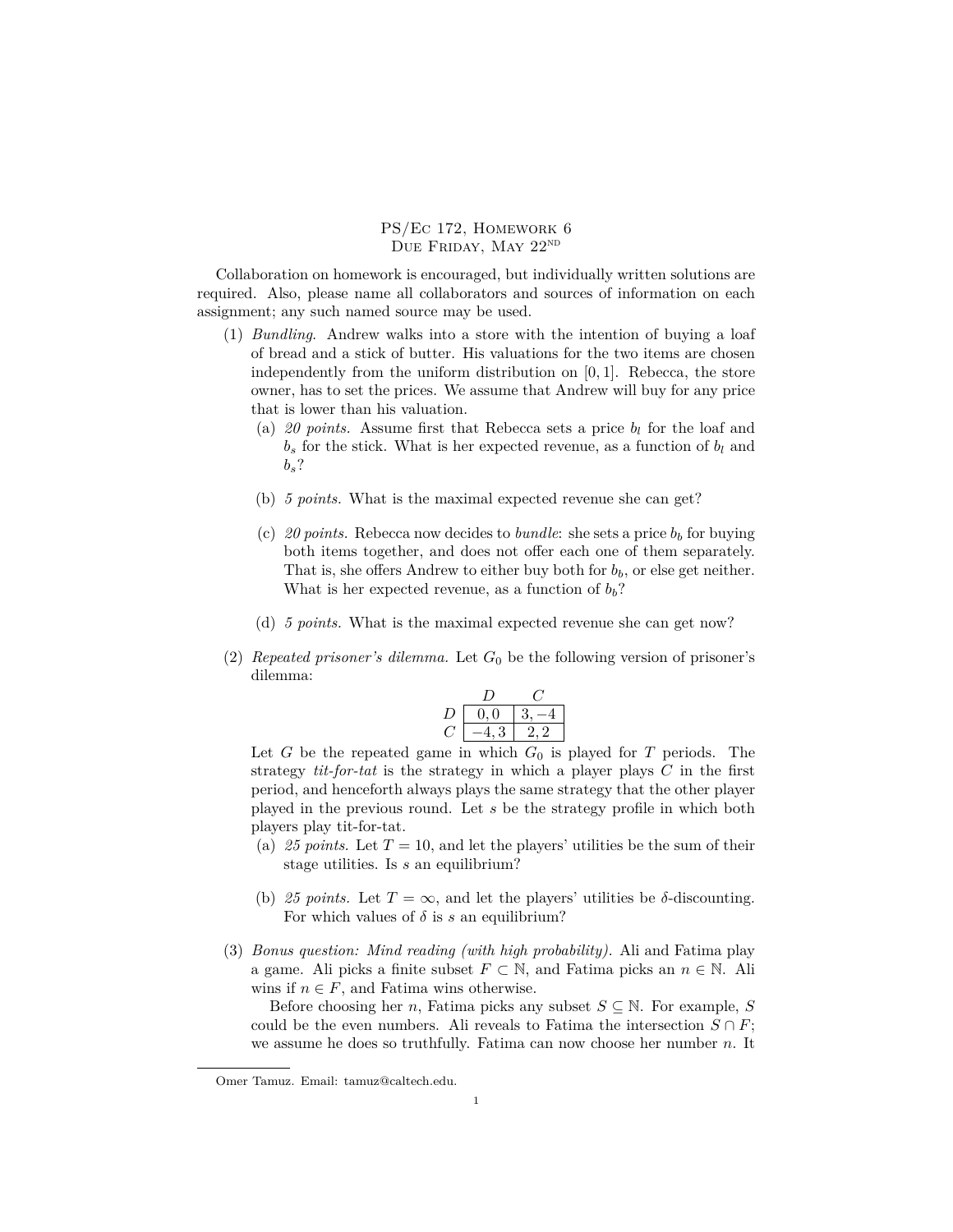PS/Ec 172, Homework 6 DUE FRIDAY, MAY 22<sup>ND</sup>

Collaboration on homework is encouraged, but individually written solutions are required. Also, please name all collaborators and sources of information on each assignment; any such named source may be used.

- (1) *Bundling*. Andrew walks into a store with the intention of buying a loaf of bread and a stick of butter. His valuations for the two items are chosen independently from the uniform distribution on [0*,* 1]. Rebecca, the store owner, has to set the prices. We assume that Andrew will buy for any price that is lower than his valuation.
	- (a) 20 points. Assume first that Rebecca sets a price  $b_l$  for the loaf and  $b_s$  for the stick. What is her expected revenue, as a function of  $b_l$  and *bs*?
	- (b) *5 points.* What is the maximal expected revenue she can get?
	- (c) 20 points. Rebecca now decides to *bundle*: she sets a price  $b<sub>b</sub>$  for buying both items together, and does not offer each one of them separately. That is, she offers Andrew to either buy both for  $b<sub>b</sub>$ , or else get neither. What is her expected revenue, as a function of  $b_b$ ?
	- (d) *5 points.* What is the maximal expected revenue she can get now?
- (2) *Repeated prisoner's dilemma.* Let  $G_0$  be the following version of prisoner's dilemma:

$$
\begin{array}{c|cc}\n & D & C \\
D & 0,0 & 3,-4 \\
C & -4,3 & 2,2\n\end{array}
$$

Let *G* be the repeated game in which *G*<sup>0</sup> is played for *T* periods. The strategy *tit-for-tat* is the strategy in which a player plays *C* in the first period, and henceforth always plays the same strategy that the other player played in the previous round. Let *s* be the strategy profile in which both players play tit-for-tat.

- (a) 25 points. Let  $T = 10$ , and let the players' utilities be the sum of their stage utilities. Is *s* an equilibrium?
- (b) 25 points. Let  $T = \infty$ , and let the players' utilities be  $\delta$ -discounting. For which values of  $\delta$  is  $s$  an equilibrium?
- (3) *Bonus question: Mind reading (with high probability).* Ali and Fatima play a game. Ali picks a finite subset  $F \subset \mathbb{N}$ , and Fatima picks an  $n \in \mathbb{N}$ . Ali wins if  $n \in F$ , and Fatima wins otherwise.

Before choosing her *n*, Fatima picks any subset  $S \subseteq N$ . For example, *S* could be the even numbers. Ali reveals to Fatima the intersection  $S \cap F$ ; we assume he does so truthfully. Fatima can now choose her number *n*. It

Omer Tamuz. Email: tamuz@caltech.edu.